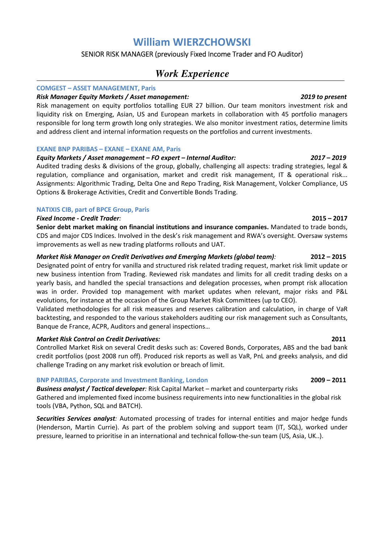# **William WIERZCHOWSKI**

# SENIOR RISK MANAGER (previously Fixed Income Trader and FO Auditor)

# *Work Experience*

### **COMGEST – ASSET MANAGEMENT, Paris**

### *Risk Manager Equity Markets / Asset management: 2019 to present*

Risk management on equity portfolios totalling EUR 27 billion. Our team monitors investment risk and liquidity risk on Emerging, Asian, US and European markets in collaboration with 45 portfolio managers responsible for long term growth long only strategies. We also monitor investment ratios, determine limits and address client and internal information requests on the portfolios and current investments.

### **EXANE BNP PARIBAS – EXANE – EXANE AM, Paris**

# *Equity Markets / Asset management – FO expert – Internal Auditor: 2017* **–** *2019*

Audited trading desks & divisions of the group, globally, challenging all aspects: trading strategies, legal & regulation, compliance and organisation, market and credit risk management, IT & operational risk... Assignments: Algorithmic Trading, Delta One and Repo Trading, Risk Management, Volcker Compliance, US Options & Brokerage Activities, Credit and Convertible Bonds Trading.

## **NATIXIS CIB, part of BPCE Group, Paris**

## *Fixed Income - Credit Trader:* **2015 – 2017**

**Senior debt market making on financial institutions and insurance companies.** Mandated to trade bonds, CDS and major CDS Indices. Involved in the desk's risk management and RWA's oversight. Oversaw systems improvements as well as new trading platforms rollouts and UAT.

# *Market Risk Manager on Credit Derivatives and Emerging Markets (global team):* **2012 – 2015**

Designated point of entry for vanilla and structured risk related trading request, market risk limit update or new business intention from Trading. Reviewed risk mandates and limits for all credit trading desks on a yearly basis, and handled the special transactions and delegation processes, when prompt risk allocation was in order. Provided top management with market updates when relevant, major risks and P&L evolutions, for instance at the occasion of the Group Market Risk Committees (up to CEO).

Validated methodologies for all risk measures and reserves calibration and calculation, in charge of VaR backtesting, and responded to the various stakeholders auditing our risk management such as Consultants, Banque de France, ACPR, Auditors and general inspections…

## *Market Risk Control on Credit Derivatives:* **2011**

Controlled Market Risk on several Credit desks such as: Covered Bonds, Corporates, ABS and the bad bank credit portfolios (post 2008 run off). Produced risk reports as well as VaR, PnL and greeks analysis, and did challenge Trading on any market risk evolution or breach of limit.

## **BNP PARIBAS, Corporate and Investment Banking, London 2009 – 2011**

*Business analyst / Tactical developer:* Risk Capital Market – market and counterparty risks Gathered and implemented fixed income business requirements into new functionalities in the global risk tools (VBA, Python, SQL and BATCH).

*Securities Services analyst:* Automated processing of trades for internal entities and major hedge funds (Henderson, Martin Currie). As part of the problem solving and support team (IT, SQL), worked under pressure, learned to prioritise in an international and technical follow-the-sun team (US, Asia, UK..).